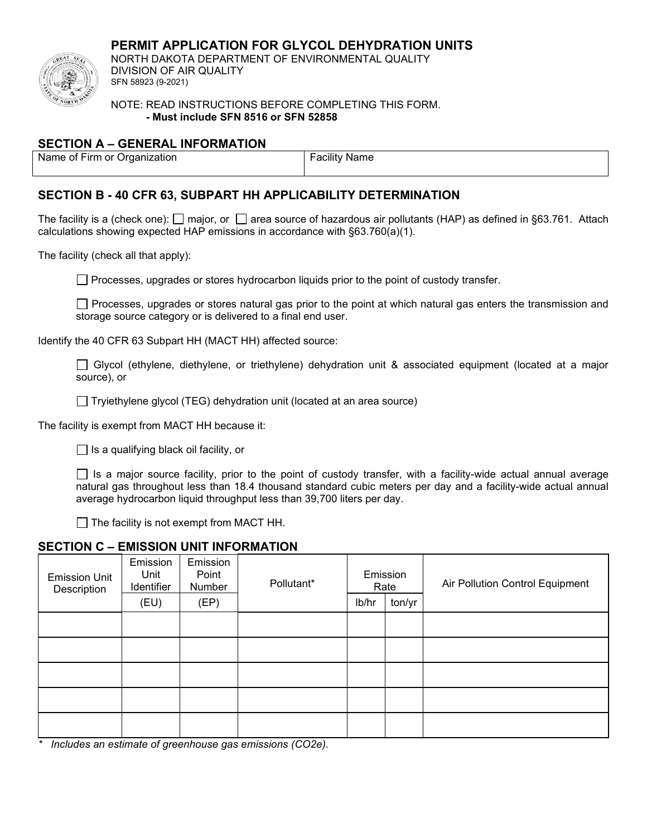**PERMIT APPLICATION FOR GLYCOL DEHYDRATION UNITS**



NORTH DAKOTA DEPARTMENT OF ENVIRONMENTAL QUALITY DIVISION OF AIR QUALITY SFN 58923 (9-2021)

NOTE: READ INSTRUCTIONS BEFORE COMPLETING THIS FORM. **- Must include SFN 8516 or SFN 52858**

## **SECTION A – GENERAL INFORMATION**

| Name of Firm or Organization | .<br>acılıtv<br>∵Name |  |  |  |  |
|------------------------------|-----------------------|--|--|--|--|
|                              |                       |  |  |  |  |

# **SECTION B - 40 CFR 63, SUBPART HH APPLICABILITY DETERMINATION**

The facility is a (check one):  $\Box$  major, or  $\Box$  area source of hazardous air pollutants (HAP) as defined in §63.761. Attach calculations showing expected HAP emissions in accordance with §63.760(a)(1).

The facility (check all that apply):

 $\Box$  Processes, upgrades or stores hydrocarbon liquids prior to the point of custody transfer.

 $\Box$  Processes, upgrades or stores natural gas prior to the point at which natural gas enters the transmission and storage source category or is delivered to a final end user.

Identify the 40 CFR 63 Subpart HH (MACT HH) affected source:

Glycol (ethylene, diethylene, or triethylene) dehydration unit & associated equipment (located at a major source), or

 $\Box$  Tryiethylene glycol (TEG) dehydration unit (located at an area source)

The facility is exempt from MACT HH because it:

 $\Box$  Is a qualifying black oil facility, or

 $\Box$  Is a major source facility, prior to the point of custody transfer, with a facility-wide actual annual average natural gas throughout less than 18.4 thousand standard cubic meters per day and a facility-wide actual annual average hydrocarbon liquid throughput less than 39,700 liters per day.

 $\Box$  The facility is not exempt from MACT HH.

#### **SECTION C – EMISSION UNIT INFORMATION**

| <b>Emission Unit</b><br>Description | Emission<br>Unit<br>Identifier | Emission<br>Point<br>Number | Pollutant* | Emission<br>Rate |        |  |  | Air Pollution Control Equipment |  |
|-------------------------------------|--------------------------------|-----------------------------|------------|------------------|--------|--|--|---------------------------------|--|
|                                     | (EU)                           | (EP)                        |            | lb/hr            | ton/yr |  |  |                                 |  |
|                                     |                                |                             |            |                  |        |  |  |                                 |  |
|                                     |                                |                             |            |                  |        |  |  |                                 |  |
|                                     |                                |                             |            |                  |        |  |  |                                 |  |
|                                     |                                |                             |            |                  |        |  |  |                                 |  |
|                                     |                                |                             |            |                  |        |  |  |                                 |  |

*\* Includes an estimate of greenhouse gas emissions (CO2e).*